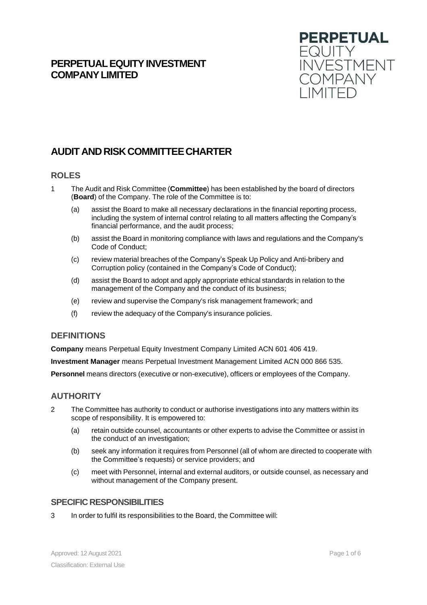# **PERPETUALEQUITYINVESTMENT COMPANYLIMITED**



# **AUDIT ANDRISKCOMMITTEECHARTER**

# **ROLES**

- 1 The Audit and Risk Committee (**Committee**) has been established by the board of directors (**Board**) of the Company. The role of the Committee is to:
	- (a) assist the Board to make all necessary declarations in the financial reporting process, including the system of internal control relating to all matters affecting the Company's financial performance, and the audit process;
	- (b) assist the Board in monitoring compliance with laws and regulations and the Company's Code of Conduct;
	- (c) review material breaches of the Company's Speak Up Policy and Anti-bribery and Corruption policy (contained in the Company's Code of Conduct);
	- (d) assist the Board to adopt and apply appropriate ethical standards in relation to the management of the Company and the conduct of its business;
	- (e) review and supervise the Company's risk management framework; and
	- (f) review the adequacy of the Company's insurance policies.

# **DEFINITIONS**

**Company** means Perpetual Equity Investment Company Limited ACN 601 406 419.

**Investment Manager** means Perpetual Investment Management Limited ACN 000 866 535.

**Personnel** means directors (executive or non-executive), officers or employees of the Company.

# **AUTHORITY**

- 2 The Committee has authority to conduct or authorise investigations into any matters within its scope of responsibility. It is empowered to:
	- (a) retain outside counsel, accountants or other experts to advise the Committee or assist in the conduct of an investigation;
	- (b) seek any information it requires from Personnel (all of whom are directed to cooperate with the Committee's requests) or service providers; and
	- (c) meet with Personnel, internal and external auditors, or outside counsel, as necessary and without management of the Company present.

### **SPECIFIC RESPONSIBILITIES**

3 In order to fulfil its responsibilities to the Board, the Committee will: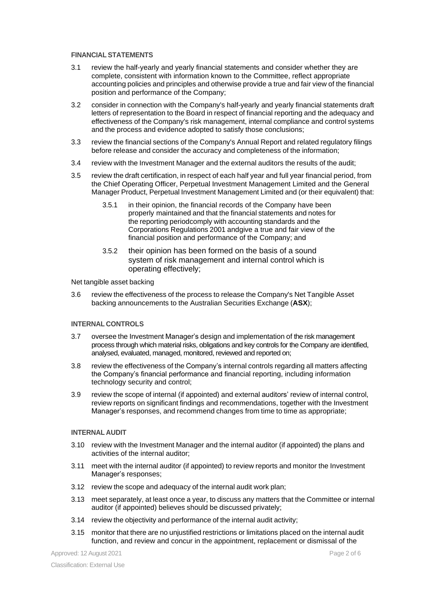#### **FINANCIAL STATEMENTS**

- 3.1 review the half-yearly and yearly financial statements and consider whether they are complete, consistent with information known to the Committee, reflect appropriate accounting policies and principles and otherwise provide a true and fair view of the financial position and performance of the Company;
- 3.2 consider in connection with the Company's half-yearly and yearly financial statements draft letters of representation to the Board in respect of financial reporting and the adequacy and effectiveness of the Company's risk management, internal compliance and control systems and the process and evidence adopted to satisfy those conclusions;
- 3.3 review the financial sections of the Company's Annual Report and related regulatory filings before release and consider the accuracy and completeness of the information;
- 3.4 review with the Investment Manager and the external auditors the results of the audit;
- 3.5 review the draft certification, in respect of each half year and full year financial period, from the Chief Operating Officer, Perpetual Investment Management Limited and the General Manager Product, Perpetual Investment Management Limited and (or their equivalent) that:
	- 3.5.1 in their opinion, the financial records of the Company have been properly maintained and that the financial statements and notes for the reporting periodcomply with accounting standards and the Corporations Regulations 2001 andgive a true and fair view of the financial position and performance of the Company; and
	- 3.5.2 their opinion has been formed on the basis of a sound system of risk management and internal control which is operating effectively;

#### Net tangible asset backing

3.6 review the effectiveness of the process to release the Company's Net Tangible Asset backing announcements to the Australian Securities Exchange (**ASX**);

#### **INTERNAL CONTROLS**

- 3.7 oversee the Investment Manager's design and implementation of the risk management process through which material risks, obligations and key controls for the Company are identified, analysed, evaluated, managed, monitored, reviewed and reported on;
- 3.8 review the effectiveness of the Company's internal controls regarding all matters affecting the Company's financial performance and financial reporting, including information technology security and control;
- 3.9 review the scope of internal (if appointed) and external auditors' review of internal control, review reports on significant findings and recommendations, together with the Investment Manager's responses, and recommend changes from time to time as appropriate;

#### **INTERNAL AUDIT**

- 3.10 review with the Investment Manager and the internal auditor (if appointed) the plans and activities of the internal auditor;
- 3.11 meet with the internal auditor (if appointed) to review reports and monitor the Investment Manager's responses;
- 3.12 review the scope and adequacy of the internal audit work plan;
- 3.13 meet separately, at least once a year, to discuss any matters that the Committee or internal auditor (if appointed) believes should be discussed privately;
- 3.14 review the objectivity and performance of the internal audit activity;
- 3.15 monitor that there are no unjustified restrictions or limitations placed on the internal audit function, and review and concur in the appointment, replacement or dismissal of the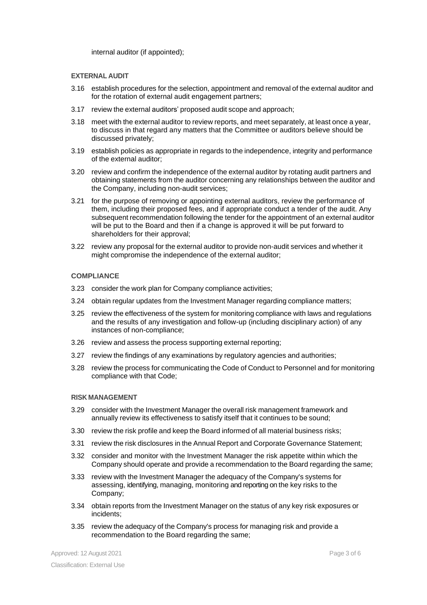internal auditor (if appointed);

#### **EXTERNAL AUDIT**

- 3.16 establish procedures for the selection, appointment and removal of the external auditor and for the rotation of external audit engagement partners;
- 3.17 review the external auditors' proposed audit scope and approach;
- 3.18 meet with the external auditor to review reports, and meet separately, at least once a year, to discuss in that regard any matters that the Committee or auditors believe should be discussed privately;
- 3.19 establish policies as appropriate in regards to the independence, integrity and performance of the external auditor;
- 3.20 review and confirm the independence of the external auditor by rotating audit partners and obtaining statements from the auditor concerning any relationships between the auditor and the Company, including non-audit services;
- 3.21 for the purpose of removing or appointing external auditors, review the performance of them, including their proposed fees, and if appropriate conduct a tender of the audit. Any subsequent recommendation following the tender for the appointment of an external auditor will be put to the Board and then if a change is approved it will be put forward to shareholders for their approval;
- 3.22 review any proposal for the external auditor to provide non-audit services and whether it might compromise the independence of the external auditor;

#### **COMPLIANCE**

- 3.23 consider the work plan for Company compliance activities;
- 3.24 obtain regular updates from the Investment Manager regarding compliance matters;
- 3.25 review the effectiveness of the system for monitoring compliance with laws and regulations and the results of any investigation and follow-up (including disciplinary action) of any instances of non-compliance;
- 3.26 review and assess the process supporting external reporting;
- 3.27 review the findings of any examinations by regulatory agencies and authorities;
- 3.28 review the process for communicating the Code of Conduct to Personnel and for monitoring compliance with that Code;

#### **RISK MANAGEMENT**

- 3.29 consider with the Investment Manager the overall risk management framework and annually review its effectiveness to satisfy itself that it continues to be sound;
- 3.30 review the risk profile and keep the Board informed of all material business risks;
- 3.31 review the risk disclosures in the Annual Report and Corporate Governance Statement;
- 3.32 consider and monitor with the Investment Manager the risk appetite within which the Company should operate and provide a recommendation to the Board regarding the same;
- 3.33 review with the Investment Manager the adequacy of the Company's systems for assessing, identifying, managing, monitoring and reporting on the key risks to the Company;
- 3.34 obtain reports from the Investment Manager on the status of any key risk exposures or incidents;
- 3.35 review the adequacy of the Company's process for managing risk and provide a recommendation to the Board regarding the same;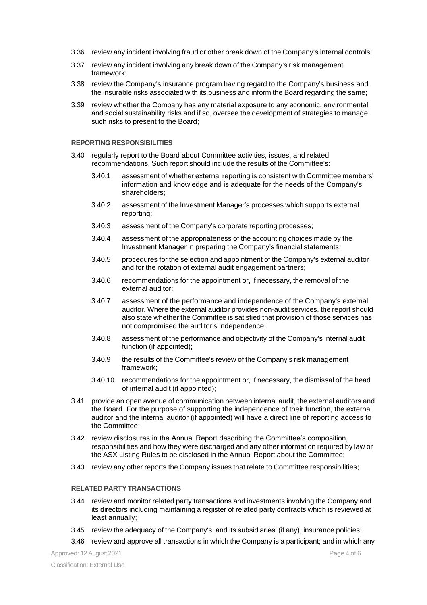- 3.36 review any incident involving fraud or other break down of the Company's internal controls;
- 3.37 review any incident involving any break down of the Company's risk management framework;
- 3.38 review the Company's insurance program having regard to the Company's business and the insurable risks associated with its business and inform the Board regarding the same;
- 3.39 review whether the Company has any material exposure to any economic, environmental and social sustainability risks and if so, oversee the development of strategies to manage such risks to present to the Board;

#### **REPORTING RESPONSIBILITIES**

- 3.40 regularly report to the Board about Committee activities, issues, and related recommendations. Such report should include the results of the Committee's:
	- 3.40.1 assessment of whether external reporting is consistent with Committee members' information and knowledge and is adequate for the needs of the Company's shareholders;
	- 3.40.2 assessment of the Investment Manager's processes which supports external reporting;
	- 3.40.3 assessment of the Company's corporate reporting processes;
	- 3.40.4 assessment of the appropriateness of the accounting choices made by the Investment Manager in preparing the Company's financial statements;
	- 3.40.5 procedures for the selection and appointment of the Company's external auditor and for the rotation of external audit engagement partners;
	- 3.40.6 recommendations for the appointment or, if necessary, the removal of the external auditor;
	- 3.40.7 assessment of the performance and independence of the Company's external auditor. Where the external auditor provides non-audit services, the report should also state whether the Committee is satisfied that provision of those services has not compromised the auditor's independence;
	- 3.40.8 assessment of the performance and objectivity of the Company's internal audit function (if appointed);
	- 3.40.9 the results of the Committee's review of the Company's risk management framework;
	- 3.40.10 recommendations for the appointment or, if necessary, the dismissal of the head of internal audit (if appointed);
- 3.41 provide an open avenue of communication between internal audit, the external auditors and the Board. For the purpose of supporting the independence of their function, the external auditor and the internal auditor (if appointed) will have a direct line of reporting access to the Committee;
- 3.42 review disclosures in the Annual Report describing the Committee's composition, responsibilities and how they were discharged and any other information required by law or the ASX Listing Rules to be disclosed in the Annual Report about the Committee;
- 3.43 review any other reports the Company issues that relate to Committee responsibilities;

#### **RELATED PARTY TRANSACTIONS**

- 3.44 review and monitor related party transactions and investments involving the Company and its directors including maintaining a register of related party contracts which is reviewed at least annually;
- 3.45 review the adequacy of the Company's, and its subsidiaries' (if any), insurance policies;
- 3.46 review and approve all transactions in which the Company is a participant; and in which any

Approved: 12 August 2021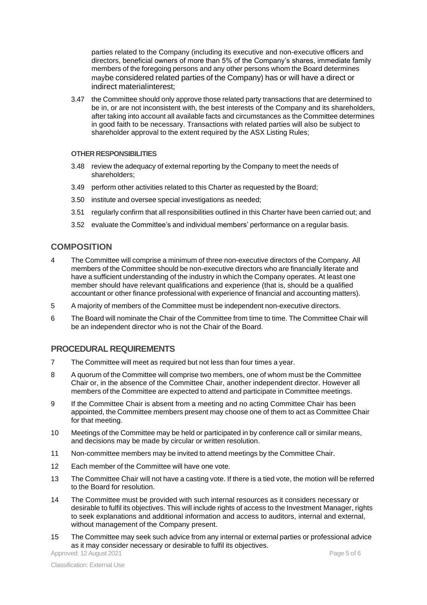parties related to the Company (including its executive and non-executive officers and directors, beneficial owners of more than 5% of the Company's shares, immediate family members of the foregoing persons and any other persons whom the Board determines maybe considered related parties of the Company) has or will have a direct or indirect materialinterest;

3.47 the Committee should only approve those related party transactions that are determined to be in, or are not inconsistent with, the best interests of the Company and its shareholders, after taking into account all available facts and circumstances as the Committee determines in good faith to be necessary. Transactions with related parties will also be subject to shareholder approval to the extent required by the ASX Listing Rules;

#### **OTHER RESPONSIBILITIES**

- 3.48 review the adequacy of external reporting by the Company to meet the needs of shareholders;
- 3.49 perform other activities related to this Charter as requested by the Board;
- 3.50 institute and oversee special investigations as needed;
- 3.51 regularly confirm that all responsibilities outlined in this Charter have been carried out; and
- 3.52 evaluate the Committee's and individual members' performance on a regular basis.

### **COMPOSITION**

- 4 The Committee will comprise a minimum of three non-executive directors of the Company. All members of the Committee should be non-executive directors who are financially literate and have a sufficient understanding of the industry in which the Company operates. At least one member should have relevant qualifications and experience (that is, should be a qualified accountant or other finance professional with experience of financial and accounting matters).
- 5 A majority of members of the Committee must be independent non-executive directors.
- 6 The Board will nominate the Chair of the Committee from time to time. The Committee Chair will be an independent director who is not the Chair of the Board.

# **PROCEDURAL REQUIREMENTS**

- 7 The Committee will meet as required but not less than four times a year.
- 8 A quorum of the Committee will comprise two members, one of whom must be the Committee Chair or, in the absence of the Committee Chair, another independent director. However all members of the Committee are expected to attend and participate in Committee meetings.
- 9 If the Committee Chair is absent from a meeting and no acting Committee Chair has been appointed, the Committee members present may choose one of them to act as Committee Chair for that meeting.
- 10 Meetings of the Committee may be held or participated in by conference call or similar means, and decisions may be made by circular or written resolution.
- 11 Non-committee members may be invited to attend meetings by the Committee Chair.
- 12 Each member of the Committee will have one vote.
- 13 The Committee Chair will not have a casting vote. If there is a tied vote, the motion will be referred to the Board for resolution.
- 14 The Committee must be provided with such internal resources as it considers necessary or desirable to fulfil its objectives. This will include rights of access to the Investment Manager, rights to seek explanations and additional information and access to auditors, internal and external, without management of the Company present.
- 15 The Committee may seek such advice from any internal or external parties or professional advice as it may consider necessary or desirable to fulfil its objectives.